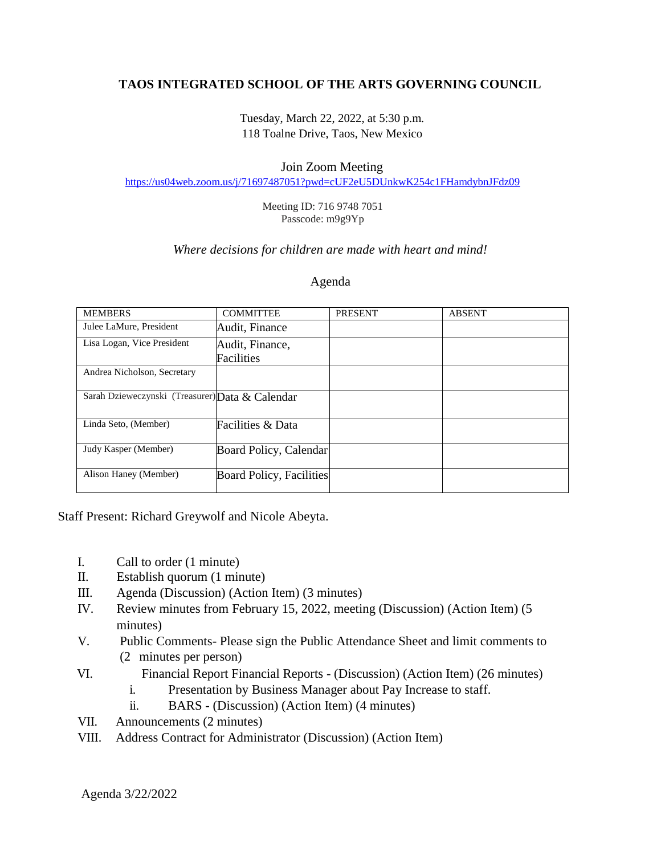# **TAOS INTEGRATED SCHOOL OF THE ARTS GOVERNING COUNCIL**

Tuesday, March 22, 2022, at 5:30 p.m. 118 Toalne Drive, Taos, New Mexico

### Join Zoom Meeting

<https://us04web.zoom.us/j/71697487051?pwd=cUF2eU5DUnkwK254c1FHamdybnJFdz09>

Meeting ID: 716 9748 7051 Passcode: m9g9Yp

## *Where decisions for children are made with heart and mind!*

#### Agenda

| <b>MEMBERS</b>                                  | <b>COMMITTEE</b>                | <b>PRESENT</b> | <b>ABSENT</b> |
|-------------------------------------------------|---------------------------------|----------------|---------------|
| Julee LaMure, President                         | Audit, Finance                  |                |               |
| Lisa Logan, Vice President                      | Audit, Finance,                 |                |               |
|                                                 | Facilities                      |                |               |
| Andrea Nicholson, Secretary                     |                                 |                |               |
|                                                 |                                 |                |               |
| Sarah Dzieweczynski (Treasurer) Data & Calendar |                                 |                |               |
| Linda Seto, (Member)                            | Facilities & Data               |                |               |
| Judy Kasper (Member)                            | Board Policy, Calendar          |                |               |
| Alison Haney (Member)                           | <b>Board Policy, Facilities</b> |                |               |

Staff Present: Richard Greywolf and Nicole Abeyta.

- I. Call to order (1 minute)
- II. Establish quorum (1 minute)
- III. Agenda (Discussion) (Action Item) (3 minutes)
- IV. Review minutes from February 15, 2022, meeting (Discussion) (Action Item) (5 minutes)
- V. Public Comments- Please sign the Public Attendance Sheet and limit comments to (2 minutes per person)
- VI. Financial Report Financial Reports (Discussion) (Action Item) (26 minutes)
	- i. Presentation by Business Manager about Pay Increase to staff.
	- ii. BARS (Discussion) (Action Item) (4 minutes)
- VII. Announcements (2 minutes)
- VIII. Address Contract for Administrator (Discussion) (Action Item)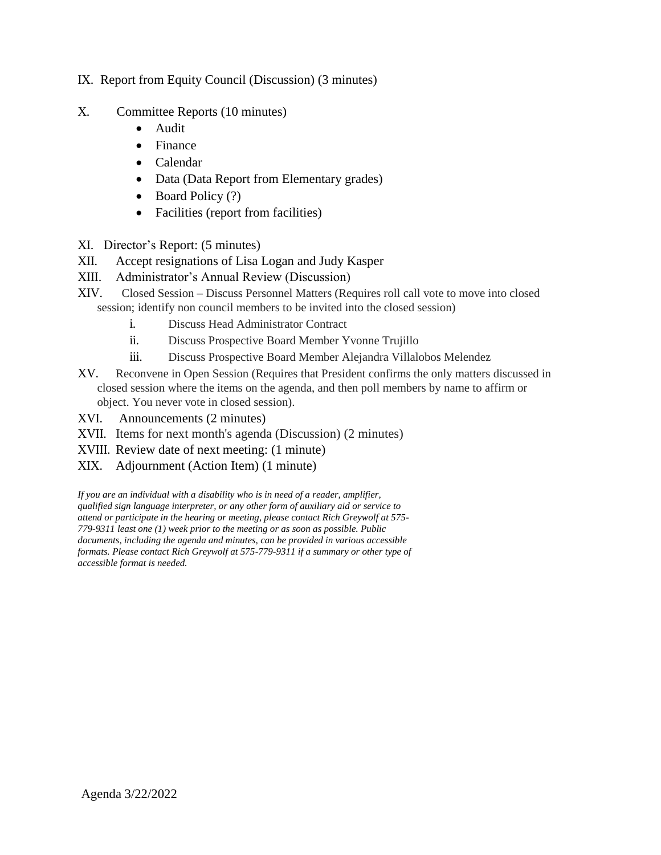## IX. Report from Equity Council (Discussion) (3 minutes)

- X. Committee Reports (10 minutes)
	- Audit
	- Finance
	- Calendar
	- Data (Data Report from Elementary grades)
	- Board Policy (?)
	- Facilities (report from facilities)
- XI. Director's Report: (5 minutes)
- XII. Accept resignations of Lisa Logan and Judy Kasper
- XIII. Administrator's Annual Review (Discussion)
- XIV. Closed Session Discuss Personnel Matters (Requires roll call vote to move into closed session; identify non council members to be invited into the closed session)
	- i. Discuss Head Administrator Contract
	- ii. Discuss Prospective Board Member Yvonne Trujillo
	- iii. Discuss Prospective Board Member Alejandra Villalobos Melendez
- XV. Reconvene in Open Session (Requires that President confirms the only matters discussed in closed session where the items on the agenda, and then poll members by name to affirm or object. You never vote in closed session).
- XVI. Announcements (2 minutes)
- XVII. Items for next month's agenda (Discussion) (2 minutes)
- XVIII. Review date of next meeting: (1 minute)
- XIX. Adjournment (Action Item) (1 minute)

*If you are an individual with a disability who is in need of a reader, amplifier, qualified sign language interpreter, or any other form of auxiliary aid or service to attend or participate in the hearing or meeting, please contact Rich Greywolf at 575- 779-9311 least one (1) week prior to the meeting or as soon as possible. Public documents, including the agenda and minutes, can be provided in various accessible formats. Please contact Rich Greywolf at 575-779-9311 if a summary or other type of accessible format is needed.*